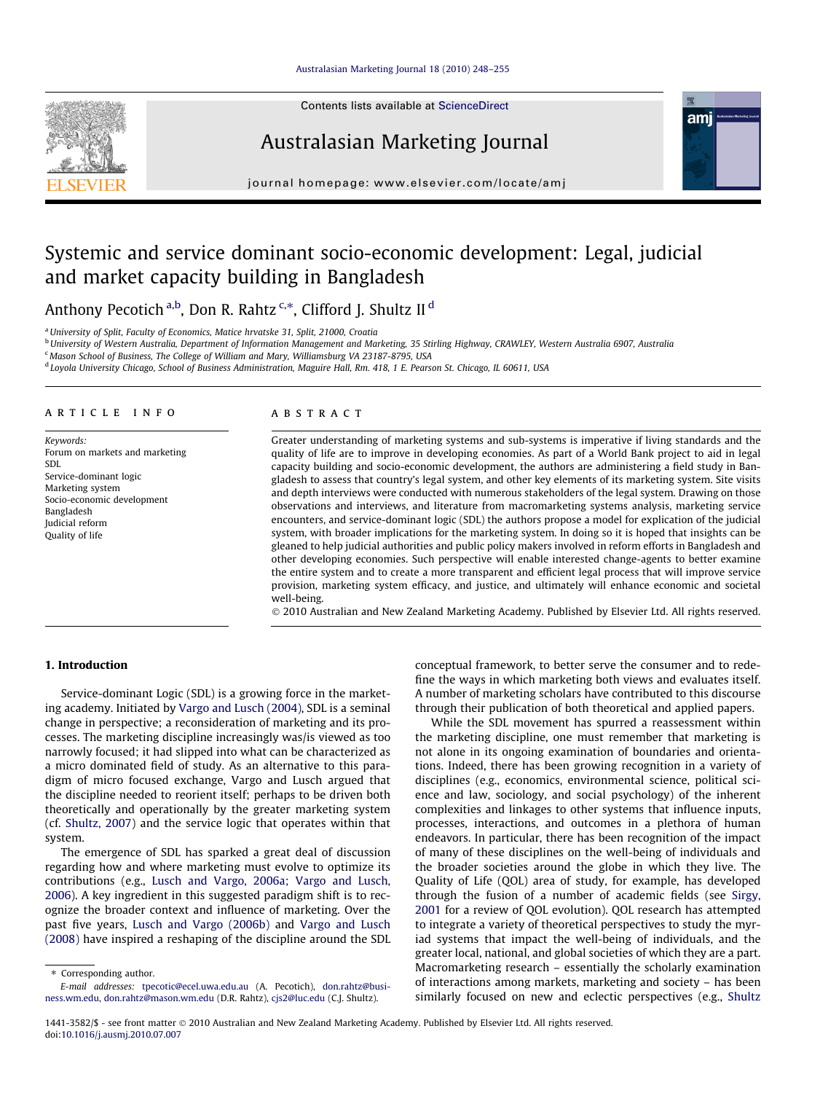Contents lists available at [ScienceDirect](http://www.sciencedirect.com/science/journal/14413582)



Australasian Marketing Journal



journal homepage: [www.elsevier.com/locate/amj](http://www.elsevier.com/locate/amj)

## Systemic and service dominant socio-economic development: Legal, judicial and market capacity building in Bangladesh

Anthony Pecotich <sup>a,b</sup>, Don R. Rahtz <sup>c,\*</sup>, Clifford J. Shultz II <sup>d</sup>

<sup>a</sup>University of Split, Faculty of Economics, Matice hrvatske 31, Split, 21000, Croatia

<sup>b</sup> University of Western Australia, Department of Information Management and Marketing, 35 Stirling Highway, CRAWLEY, Western Australia 6907, Australia

<sup>c</sup> Mason School of Business, The College of William and Mary, Williamsburg VA 23187-8795, USA

<sup>d</sup> Loyola University Chicago, School of Business Administration, Maguire Hall, Rm. 418, 1 E. Pearson St. Chicago, IL 60611, USA

### article info

Keywords: Forum on markets and marketing SDL Service-dominant logic Marketing system Socio-economic development Bangladesh Judicial reform Quality of life

#### **ABSTRACT**

Greater understanding of marketing systems and sub-systems is imperative if living standards and the quality of life are to improve in developing economies. As part of a World Bank project to aid in legal capacity building and socio-economic development, the authors are administering a field study in Bangladesh to assess that country's legal system, and other key elements of its marketing system. Site visits and depth interviews were conducted with numerous stakeholders of the legal system. Drawing on those observations and interviews, and literature from macromarketing systems analysis, marketing service encounters, and service-dominant logic (SDL) the authors propose a model for explication of the judicial system, with broader implications for the marketing system. In doing so it is hoped that insights can be gleaned to help judicial authorities and public policy makers involved in reform efforts in Bangladesh and other developing economies. Such perspective will enable interested change-agents to better examine the entire system and to create a more transparent and efficient legal process that will improve service provision, marketing system efficacy, and justice, and ultimately will enhance economic and societal well-being.

- 2010 Australian and New Zealand Marketing Academy. Published by Elsevier Ltd. All rights reserved.

### 1. Introduction

Service-dominant Logic (SDL) is a growing force in the marketing academy. Initiated by [Vargo and Lusch \(2004\)](#page--1-0), SDL is a seminal change in perspective; a reconsideration of marketing and its processes. The marketing discipline increasingly was/is viewed as too narrowly focused; it had slipped into what can be characterized as a micro dominated field of study. As an alternative to this paradigm of micro focused exchange, Vargo and Lusch argued that the discipline needed to reorient itself; perhaps to be driven both theoretically and operationally by the greater marketing system (cf. [Shultz, 2007\)](#page--1-0) and the service logic that operates within that system.

The emergence of SDL has sparked a great deal of discussion regarding how and where marketing must evolve to optimize its contributions (e.g., [Lusch and Vargo, 2006a; Vargo and Lusch,](#page--1-0) [2006\)](#page--1-0). A key ingredient in this suggested paradigm shift is to recognize the broader context and influence of marketing. Over the past five years, [Lusch and Vargo \(2006b\)](#page--1-0) and [Vargo and Lusch](#page--1-0) [\(2008\)](#page--1-0) have inspired a reshaping of the discipline around the SDL

⇑ Corresponding author.

conceptual framework, to better serve the consumer and to redefine the ways in which marketing both views and evaluates itself. A number of marketing scholars have contributed to this discourse through their publication of both theoretical and applied papers.

While the SDL movement has spurred a reassessment within the marketing discipline, one must remember that marketing is not alone in its ongoing examination of boundaries and orientations. Indeed, there has been growing recognition in a variety of disciplines (e.g., economics, environmental science, political science and law, sociology, and social psychology) of the inherent complexities and linkages to other systems that influence inputs, processes, interactions, and outcomes in a plethora of human endeavors. In particular, there has been recognition of the impact of many of these disciplines on the well-being of individuals and the broader societies around the globe in which they live. The Quality of Life (QOL) area of study, for example, has developed through the fusion of a number of academic fields (see [Sirgy,](#page--1-0) [2001](#page--1-0) for a review of QOL evolution). QOL research has attempted to integrate a variety of theoretical perspectives to study the myriad systems that impact the well-being of individuals, and the greater local, national, and global societies of which they are a part. Macromarketing research – essentially the scholarly examination of interactions among markets, marketing and society – has been similarly focused on new and eclectic perspectives (e.g., [Shultz](#page--1-0)

E-mail addresses: [tpecotic@ecel.uwa.edu.au](mailto:tpecotic@ecel.uwa.edu.au) (A. Pecotich), [don.rahtz@busi](mailto:don.rahtz@business.wm.edu)[ness.wm.edu](mailto:don.rahtz@business.wm.edu), [don.rahtz@mason.wm.edu](mailto:don.rahtz@mason.wm.edu) (D.R. Rahtz), [cjs2@luc.edu](mailto:cjs2@luc.edu) (C.J. Shultz).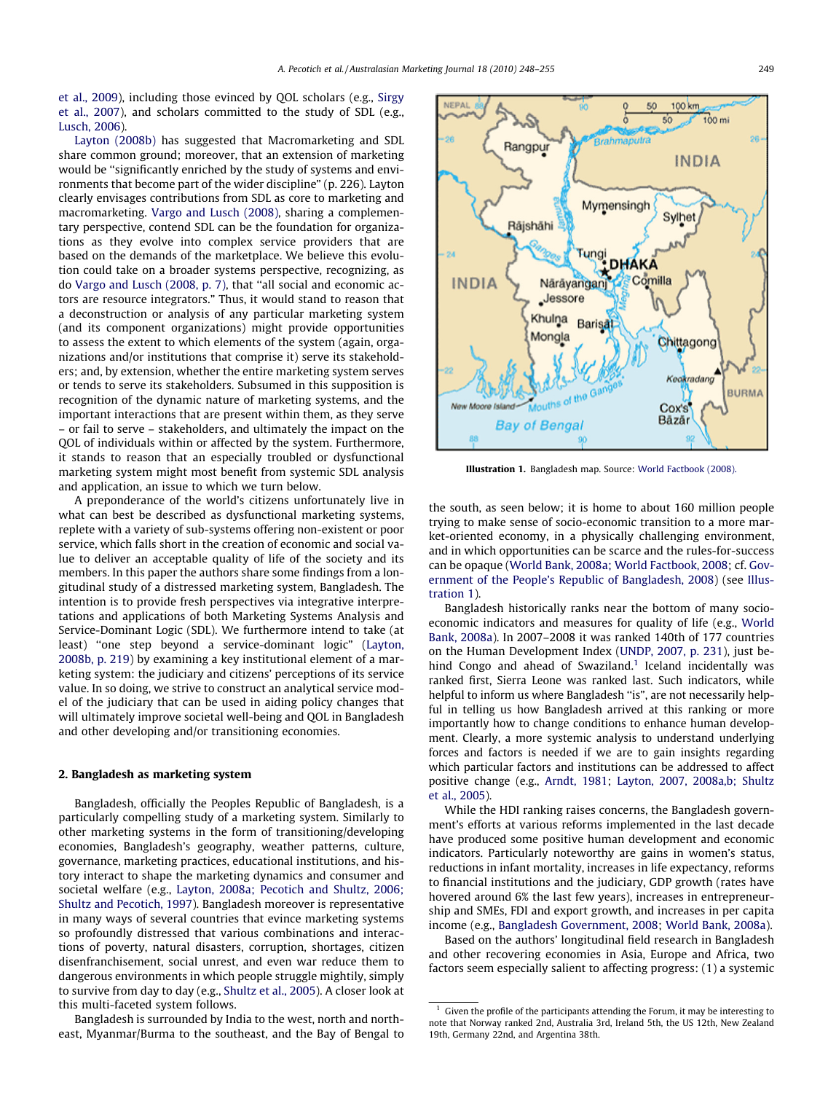[et al., 2009\)](#page--1-0), including those evinced by QOL scholars (e.g., [Sirgy](#page--1-0) [et al., 2007](#page--1-0)), and scholars committed to the study of SDL (e.g., [Lusch, 2006](#page--1-0)).

[Layton \(2008b\)](#page--1-0) has suggested that Macromarketing and SDL share common ground; moreover, that an extension of marketing would be ''significantly enriched by the study of systems and environments that become part of the wider discipline" (p. 226). Layton clearly envisages contributions from SDL as core to marketing and macromarketing. [Vargo and Lusch \(2008\)](#page--1-0), sharing a complementary perspective, contend SDL can be the foundation for organizations as they evolve into complex service providers that are based on the demands of the marketplace. We believe this evolution could take on a broader systems perspective, recognizing, as do [Vargo and Lusch \(2008, p. 7\)](#page--1-0), that ''all social and economic actors are resource integrators." Thus, it would stand to reason that a deconstruction or analysis of any particular marketing system (and its component organizations) might provide opportunities to assess the extent to which elements of the system (again, organizations and/or institutions that comprise it) serve its stakeholders; and, by extension, whether the entire marketing system serves or tends to serve its stakeholders. Subsumed in this supposition is recognition of the dynamic nature of marketing systems, and the important interactions that are present within them, as they serve – or fail to serve – stakeholders, and ultimately the impact on the QOL of individuals within or affected by the system. Furthermore, it stands to reason that an especially troubled or dysfunctional marketing system might most benefit from systemic SDL analysis and application, an issue to which we turn below.

A preponderance of the world's citizens unfortunately live in what can best be described as dysfunctional marketing systems, replete with a variety of sub-systems offering non-existent or poor service, which falls short in the creation of economic and social value to deliver an acceptable quality of life of the society and its members. In this paper the authors share some findings from a longitudinal study of a distressed marketing system, Bangladesh. The intention is to provide fresh perspectives via integrative interpretations and applications of both Marketing Systems Analysis and Service-Dominant Logic (SDL). We furthermore intend to take (at least) ''one step beyond a service-dominant logic" [\(Layton,](#page--1-0) [2008b, p. 219](#page--1-0)) by examining a key institutional element of a marketing system: the judiciary and citizens' perceptions of its service value. In so doing, we strive to construct an analytical service model of the judiciary that can be used in aiding policy changes that will ultimately improve societal well-being and QOL in Bangladesh and other developing and/or transitioning economies.

### 2. Bangladesh as marketing system

Bangladesh, officially the Peoples Republic of Bangladesh, is a particularly compelling study of a marketing system. Similarly to other marketing systems in the form of transitioning/developing economies, Bangladesh's geography, weather patterns, culture, governance, marketing practices, educational institutions, and history interact to shape the marketing dynamics and consumer and societal welfare (e.g., [Layton, 2008a; Pecotich and Shultz, 2006;](#page--1-0) [Shultz and Pecotich, 1997\)](#page--1-0). Bangladesh moreover is representative in many ways of several countries that evince marketing systems so profoundly distressed that various combinations and interactions of poverty, natural disasters, corruption, shortages, citizen disenfranchisement, social unrest, and even war reduce them to dangerous environments in which people struggle mightily, simply to survive from day to day (e.g., [Shultz et al., 2005](#page--1-0)). A closer look at this multi-faceted system follows.

Bangladesh is surrounded by India to the west, north and northeast, Myanmar/Burma to the southeast, and the Bay of Bengal to



Illustration 1. Bangladesh map. Source: [World Factbook \(2008\).](#page--1-0)

the south, as seen below; it is home to about 160 million people trying to make sense of socio-economic transition to a more market-oriented economy, in a physically challenging environment, and in which opportunities can be scarce and the rules-for-success can be opaque [\(World Bank, 2008a; World Factbook, 2008;](#page--1-0) cf. [Gov](#page--1-0)[ernment of the People's Republic of Bangladesh, 2008\)](#page--1-0) (see Illustration 1).

Bangladesh historically ranks near the bottom of many socioeconomic indicators and measures for quality of life (e.g., [World](#page--1-0) [Bank, 2008a\)](#page--1-0). In 2007–2008 it was ranked 140th of 177 countries on the Human Development Index [\(UNDP, 2007, p. 231](#page--1-0)), just behind Congo and ahead of Swaziland.<sup>1</sup> Iceland incidentally was ranked first, Sierra Leone was ranked last. Such indicators, while helpful to inform us where Bangladesh ''is", are not necessarily helpful in telling us how Bangladesh arrived at this ranking or more importantly how to change conditions to enhance human development. Clearly, a more systemic analysis to understand underlying forces and factors is needed if we are to gain insights regarding which particular factors and institutions can be addressed to affect positive change (e.g., [Arndt, 1981](#page--1-0); [Layton, 2007, 2008a,b; Shultz](#page--1-0) [et al., 2005\)](#page--1-0).

While the HDI ranking raises concerns, the Bangladesh government's efforts at various reforms implemented in the last decade have produced some positive human development and economic indicators. Particularly noteworthy are gains in women's status, reductions in infant mortality, increases in life expectancy, reforms to financial institutions and the judiciary, GDP growth (rates have hovered around 6% the last few years), increases in entrepreneurship and SMEs, FDI and export growth, and increases in per capita income (e.g., [Bangladesh Government, 2008](#page--1-0); [World Bank, 2008a](#page--1-0)).

Based on the authors' longitudinal field research in Bangladesh and other recovering economies in Asia, Europe and Africa, two factors seem especially salient to affecting progress: (1) a systemic

 $^{\rm 1}$  Given the profile of the participants attending the Forum, it may be interesting to note that Norway ranked 2nd, Australia 3rd, Ireland 5th, the US 12th, New Zealand 19th, Germany 22nd, and Argentina 38th.